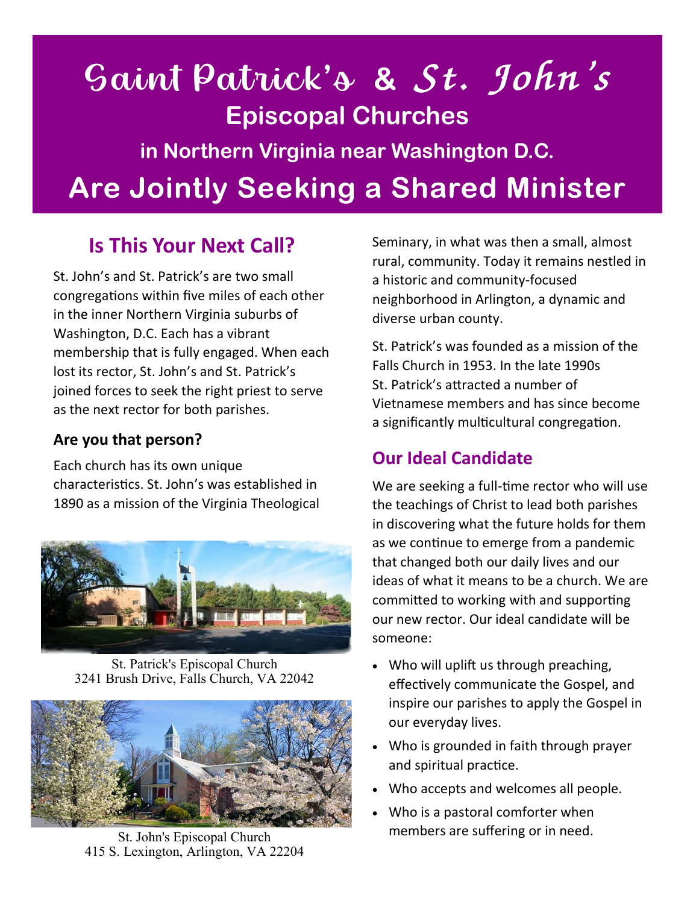# Saint Patrick's **& Episcopal Churches in Northern Virginia near Washington D.C. Are Jointly Seeking a Shared Minister**

## **Is This Your Next Call?**

St. John's and St. Patrick's are two small congregations within five miles of each other in the inner Northern Virginia suburbs of Washington, D.C. Each has a vibrant membership that is fully engaged. When each lost its rector, St. John's and St. Patrick's joined forces to seek the right priest to serve as the next rector for both parishes.

#### **Are you that person?**

Each church has its own unique characteristics. St. John's was established in 1890 as a mission of the Virginia Theological



St. Patrick's Episcopal Church 3241 Brush Drive, Falls Church, VA 22042



415 S. Lexington, Arlington, VA 22204

Seminary, in what was then a small, almost rural, community. Today it remains nestled in a historic and community-focused neighborhood in Arlington, a dynamic and diverse urban county.

St. Patrick's was founded as a mission of the Falls Church in 1953. In the late 1990s St. Patrick's attracted a number of Vietnamese members and has since become a significantly multicultural congregation.

### **Our Ideal Candidate**

We are seeking a full-time rector who will use the teachings of Christ to lead both parishes in discovering what the future holds for them as we continue to emerge from a pandemic that changed both our daily lives and our ideas of what it means to be a church. We are committed to working with and supporting our new rector. Our ideal candidate will be someone:

- Who will uplift us through preaching, effectively communicate the Gospel, and inspire our parishes to apply the Gospel in our everyday lives.
- Who is grounded in faith through prayer and spiritual practice.
- Who accepts and welcomes all people.
- Who is a pastoral comforter when members are suffering or in need. St. John's Episcopal Church